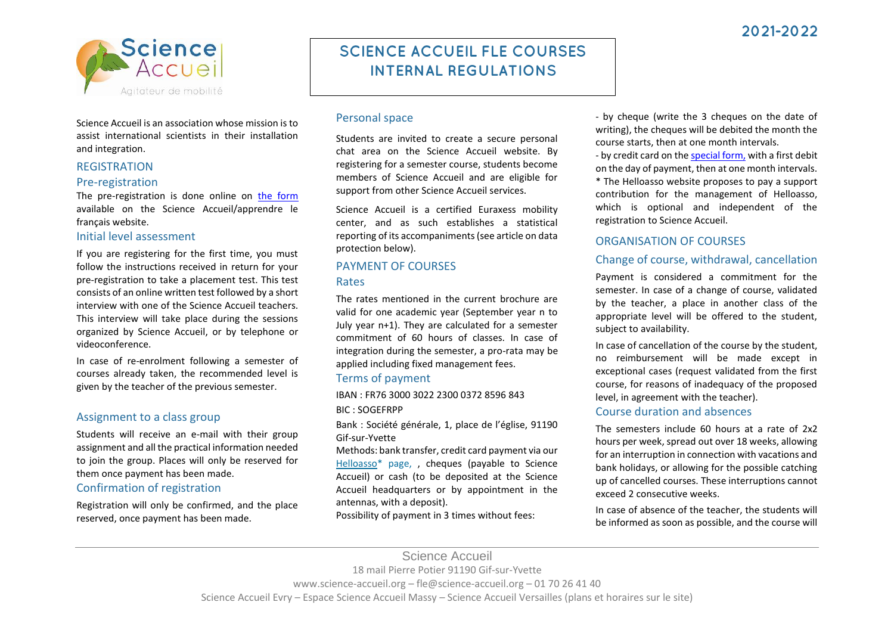

Science Accueil is an association whose mission is to assist international scientists in their installation and integration.

#### **REGISTRATION**

#### Pre-registration

The pre-registration is done online on [the form](https://docs.google.com/forms/d/e/1FAIpQLSdSiY5lAF6Vhf-r5M9mXUGin1M9zzzTqfFIv-8dUkJ4UyzZLQ/viewform) available on the Science Accueil/apprendre le français website.

#### Initial level assessment

If you are registering for the first time, you must follow the instructions received in return for your pre-registration to take a placement test. This test consists of an online written test followed by a short interview with one of the Science Accueil teachers. This interview will take place during the sessions organized by Science Accueil, or by telephone or videoconference.

In case of re-enrolment following a semester of courses already taken, the recommended level is given by the teacher of the previous semester.

## Assignment to a class group

Students will receive an e-mail with their group assignment and all the practical information needed to join the group. Places will only be reserved for them once payment has been made.

# Confirmation of registration

Registration will only be confirmed, and the place reserved, once payment has been made.

# **SCIENCE ACCUEIL FLE COURSES INTERNAL REGULATIONS**

# Personal space

Students are invited to create a secure personal chat area on the Science Accueil website. By registering for a semester course, students become members of Science Accueil and are eligible for support from other Science Accueil services.

Science Accueil is a certified Euraxess mobility center, and as such establishes a statistical reporting of its accompaniments (see article on data protection below).

# PAYMENT OF COURSES

#### Rates

The rates mentioned in the current brochure are valid for one academic year (September year n to July year n+1). They are calculated for a semester commitment of 60 hours of classes. In case of integration during the semester, a pro-rata may be applied including fixed management fees.

## Terms of payment

IBAN : FR76 3000 3022 2300 0372 8596 843 BIC : SOGEFRPP

Bank : Société générale, 1, place de l'église, 91190 Gif-sur-Yvette

Methods: bank transfer, credit card payment via our [Helloasso\\*](mailto:https://www.helloasso.com/associations/science-accueil/paiements/cours-de-francais-langue-etrangere) page, , cheques (payable to Science Accueil) or cash (to be deposited at the Science Accueil headquarters or by appointment in the antennas, with a deposit).

Possibility of payment in 3 times without fees:

- by cheque (write the 3 cheques on the date of writing), the cheques will be debited the month the course starts, then at one month intervals.

- by credit card on th[e special](mailto:https://www.helloasso.com/associations/science-accueil/adhesions/semestre-fle-paiement-en-3x?_ga=2.21046587.1447565816.1646787348-1938447383.1623329271&_gl=1%2ag59o3y%2a_ga%2aMTkzODQ0NzM4My4xNjIzMzI5Mjcx%2a_ga_TKC826G3G2%2aMTY0Njc4NzM0Ny4xMi4xLjE2NDY3ODcz?_ga=2.21046587.1447565816.1646787348-1938447383.1623329271&_gl=1%2ag59o3y%2a_ga%2aMTkzODQ0NzM4My4xNjIzMzI5Mjcx%2a_ga_TKC826G3G2%2aMTY0Njc4NzM0Ny4xMi4xLjE2NDY3ODcz) form, with a first debit on the day of payment, then at one month intervals. \* The Helloasso website proposes to pay a support contribution for the management of Helloasso, which is optional and independent of the registration to Science Accueil.

# ORGANISATION OF COURSES

# Change of course, withdrawal, cancellation

Payment is considered a commitment for the semester. In case of a change of course, validated by the teacher, a place in another class of the appropriate level will be offered to the student, subject to availability.

In case of cancellation of the course by the student, no reimbursement will be made except in exceptional cases (request validated from the first course, for reasons of inadequacy of the proposed level, in agreement with the teacher).

# Course duration and absences

The semesters include 60 hours at a rate of 2x2 hours per week, spread out over 18 weeks, allowing for an interruption in connection with vacations and bank holidays, or allowing for the possible catching up of cancelled courses. These interruptions cannot exceed 2 consecutive weeks.

In case of absence of the teacher, the students will be informed as soon as possible, and the course will